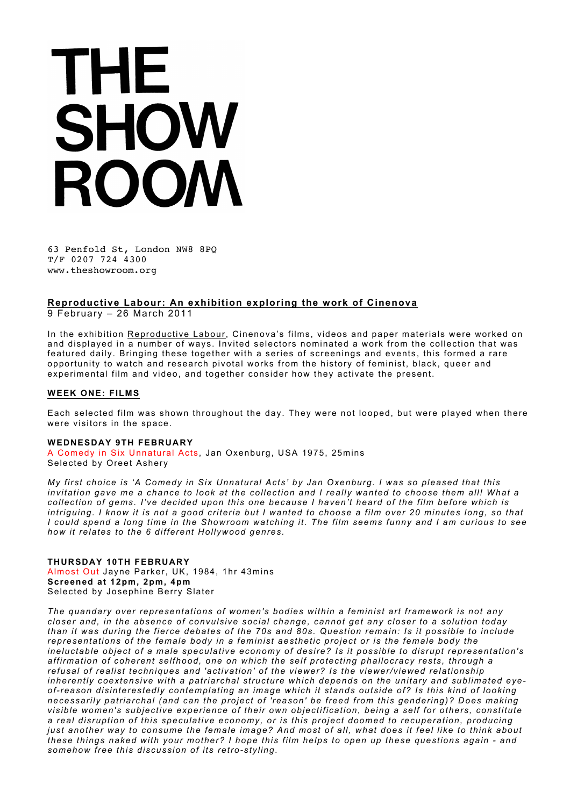# THE SHOW ROOM

63 Penfold St, London NW8 8PQ T/F 0207 724 4300 www.theshowroom.org

# **Reproductive Labour: An exhibition exploring the work of Cinenova**

9 February – 26 March 2011

In the exhibition Reproductive Labour, Cinenova's films, videos and paper materials were worked on and displayed in a number of ways. Invited selectors nominated a work from the collection that was featured daily. Bringing these together with a series of screenings and events, this formed a rare opportunity to watch and research pivotal works from the history of feminist, black, queer and experimental film and video, and together consider how they activate the present.

## **WEEK ONE: FILMS**

Each selected film was shown throughout the day. They were not looped, but were played when there were visitors in the space.

### **WEDNESDAY 9TH FEBRUARY**

A Comedy in Six Unnatural Acts, Jan Oxenburg, USA 1975, 25mins Selected by Oreet Ashery

*My first choice is 'A Comedy in Six Unnatural Acts' by Jan Oxenburg. I was so pleased that this*  invitation gave me a chance to look at the collection and I really wanted to choose them all! What a *collection of gems. I've decided upon this one because I haven't heard of the film before which is intriguing. I know it is not a good criteria but I wanted to choose a film over 20 minutes long, so that I could spend a long time in the Showroom watching it. The film seems funny and I am curious to see how it relates to the 6 different Hollywood genres.*

### **THURSDAY 10TH FEBRUARY** Almost Out Jayne Parker, UK, 1984, 1hr 43mins **Screened at 12pm, 2pm, 4pm** Selected by Josephine Berry Slater

*The quandary over representations of women's bodies within a feminist art framework is not any closer and, in the absence of convulsive social change, cannot get any closer to a solution today than it was during the fierce debates of the 70s and 80s. Question remain: Is it possible to include representations of the female body in a feminist aesthetic project or is the female body the ineluctable object of a male speculative economy of desire? Is it possible to disrupt representation's affirmation of coherent selfhood, one on which the self protecting phallocracy rests, through a refusal of realist techniques and 'activation' of the viewer? Is the viewer/viewed relationship inherently coextensive with a patriarchal structure which depends on the unitary and sublimated eyeof-reason disinterestedly contemplating an image which it stands outside of? Is this kind of looking necessarily patriarchal (and can the project of 'reason' be freed from this gendering)? Does making visible women's subjective experience of their own objectification, being a self for others, constitute a real disruption of this speculative economy, or is this project doomed to recuperation, producing just another way to consume the female image? And most of all, what does it feel like to think about these things naked with your mother? I hope this film helps to open up these questions again - and somehow free this discussion of its retro-styling.*